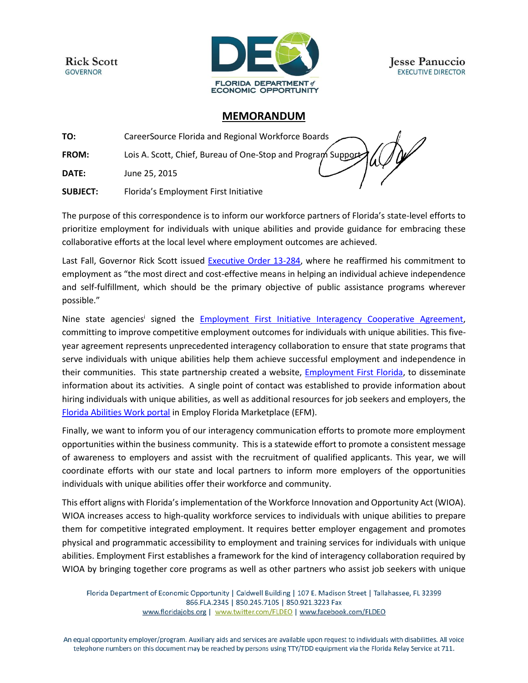**Rick Scott GOVERNOR** 



**Jesse Panuccio EXECUTIVE DIRECTOR** 

## **MEMORANDUM**

**TO:** CareerSource Florida and Regional Workforce Boards **FROM:** Lois A. Scott, Chief, Bureau of One-Stop and Program Support **DATE:** June 25, 2015 **SUBJECT:** Florida's Employment First Initiative

The purpose of this correspondence is to inform our workforce partners of Florida's state-level efforts to prioritize employment for individuals with unique abilities and provide guidance for embracing these collaborative efforts at the local level where employment outcomes are achieved.

Last Fall, Governor Rick Scott issued [Executive Order 13-284,](http://www.fddc.org/sites/default/files/EO%2013-284%20%283%29.pdf) where he reaffirmed his commitment to employment as "the most direct and cost-effective means in helping an individual achieve independence and self-fulfillment, which should be the primary objective of public assistance programs wherever possible."

Nine state agencies<sup>i</sup> signed the **[Employment First Initiative Interagency Cooperative Agreement,](http://www.fddc.org/sites/default/files/2.Employment%20First%20Interagency%20Cooperative%20Agreement.5.7.14.pdf)** committing to improve competitive employment outcomes for individuals with unique abilities. This fiveyear agreement represents unprecedented interagency collaboration to ensure that state programs that serve individuals with unique abilities help them achieve successful employment and independence in their communities. This state partnership created a website, [Employment First Florida,](http://www.employmentfirstfl.org/) to disseminate information about its activities. A single point of contact was established to provide information about hiring individuals with unique abilities, as well as additional resources for job seekers and employers, the [Florida Abilities Work portal](https://abilitieswork.employflorida.com/vosnet/Default.aspx) in Employ Florida Marketplace (EFM).

Finally, we want to inform you of our interagency communication efforts to promote more employment opportunities within the business community. This is a statewide effort to promote a consistent message of awareness to employers and assist with the recruitment of qualified applicants. This year, we will coordinate efforts with our state and local partners to inform more employers of the opportunities individuals with unique abilities offer their workforce and community.

This effort aligns with Florida's implementation of the Workforce Innovation and Opportunity Act (WIOA). WIOA increases access to high-quality workforce services to individuals with unique abilities to prepare them for competitive integrated employment. It requires better employer engagement and promotes physical and programmatic accessibility to employment and training services for individuals with unique abilities. Employment First establishes a framework for the kind of interagency collaboration required by WIOA by bringing together core programs as well as other partners who assist job seekers with unique

Florida Department of Economic Opportunity | Caldwell Building | 107 E. Madison Street | Tallahassee, FL 32399 866.FLA.2345 | 850.245.7105 | 850.921.3223 Fax www.floridajobs.org | www.twitter.com/FLDEO | www.facebook.com/FLDEO

An equal opportunity employer/program. Auxiliary aids and services are available upon request to individuals with disabilities. All voice telephone numbers on this document may be reached by persons using TTY/TDD equipment via the Florida Relay Service at 711.